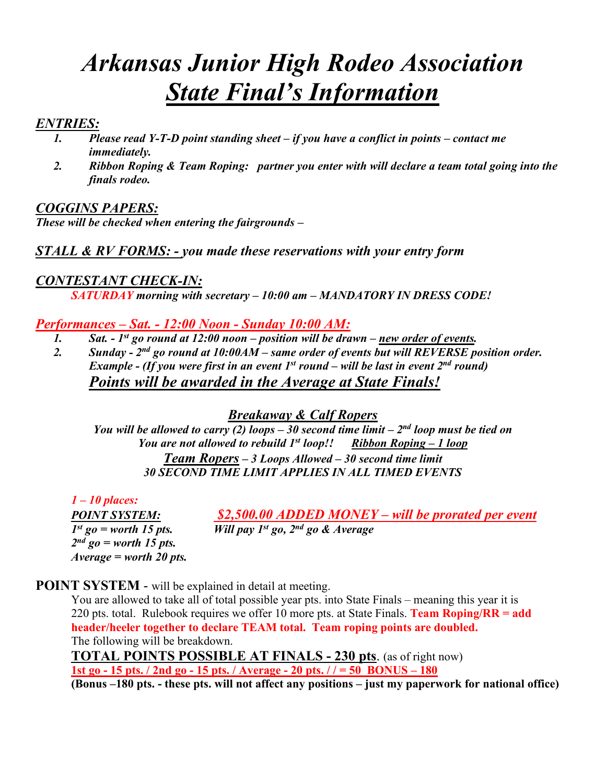# *Arkansas Junior High Rodeo Association State Final's Information*

#### *ENTRIES:*

- *1. Please read Y-T-D point standing sheet if you have a conflict in points contact me immediately.*
- *2. Ribbon Roping & Team Roping: partner you enter with will declare a team total going into the finals rodeo.*

## *COGGINS PAPERS:*

*These will be checked when entering the fairgrounds –* 

#### *STALL & RV FORMS: - you made these reservations with your entry form*

### *CONTESTANT CHECK-IN:*

*SATURDAY morning with secretary – 10:00 am – MANDATORY IN DRESS CODE!*

#### *Performances – Sat. - 12:00 Noon - Sunday 10:00 AM:*

- *1. Sat. 1st go round at 12:00 noon position will be drawn new order of events.*
- *2. Sunday 2nd go round at 10:00AM same order of events but will REVERSE position order. Example - (If you were first in an event 1st round – will be last in event 2nd round) Points will be awarded in the Average at State Finals!*

#### *Breakaway & Calf Ropers*

*You will be allowed to carry (2) loops – 30 second time limit –*  $2^{nd}$  *loop must be tied on You are not allowed to rebuild 1<sup>st</sup> loop!! Ribbon Roping – 1 loop Team Ropers – 3 Loops Allowed – 30 second time limit 30 SECOND TIME LIMIT APPLIES IN ALL TIMED EVENTS* 

*1 – 10 places: 2nd go = worth 15 pts. Average = worth 20 pts.* 

*POINT SYSTEM:*  $\frac{$2,500.00 \text{ } ADDED \text{ } MONEY - will \text{ } by \text{ } by \text{ } prove the 15 \text{ } bits.$ <br> *I*<sup>st</sup> go = worth 15 pts. *Will pay 1*<sup>st</sup> go, 2<sup>nd</sup> go & Average *Will pay 1st go, 2nd go & Average* 

**POINT SYSTEM** - will be explained in detail at meeting.

You are allowed to take all of total possible year pts. into State Finals – meaning this year it is 220 pts. total. Rulebook requires we offer 10 more pts. at State Finals. **Team Roping/RR = add header/heeler together to declare TEAM total. Team roping points are doubled.** The following will be breakdown.

**TOTAL POINTS POSSIBLE AT FINALS - 230 pts**. (as of right now) **1st go - 15 pts. / 2nd go - 15 pts. / Average - 20 pts. / / = 50 BONUS – 180**

**(Bonus –180 pts. - these pts. will not affect any positions – just my paperwork for national office)**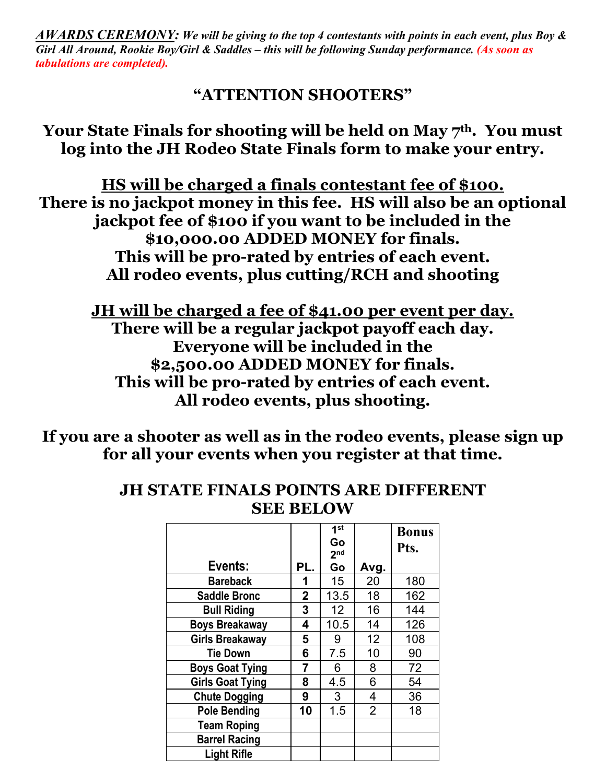*AWARDS CEREMONY: We will be giving to the top 4 contestants with points in each event, plus Boy & Girl All Around, Rookie Boy/Girl & Saddles – this will be following Sunday performance. (As soon as tabulations are completed).* 

# **"ATTENTION SHOOTERS"**

Your State Finals for shooting will be held on May 7<sup>th</sup>. You must **log into the JH Rodeo State Finals form to make your entry.** 

**HS will be charged a finals contestant fee of \$100. There is no jackpot money in this fee. HS will also be an optional jackpot fee of \$100 if you want to be included in the \$10,000.00 ADDED MONEY for finals. This will be pro-rated by entries of each event. All rodeo events, plus cutting/RCH and shooting**

**JH will be charged a fee of \$41.00 per event per day. There will be a regular jackpot payoff each day. Everyone will be included in the \$2,500.00 ADDED MONEY for finals. This will be pro-rated by entries of each event. All rodeo events, plus shooting.** 

**If you are a shooter as well as in the rodeo events, please sign up for all your events when you register at that time.**

# **JH STATE FINALS POINTS ARE DIFFERENT SEE BELOW**

|                         |                         | $\overline{1}$ st<br>Go<br>2 <sub>nd</sub> |                | <b>Bonus</b><br>Pts. |
|-------------------------|-------------------------|--------------------------------------------|----------------|----------------------|
| Events:                 | PL.                     | Go                                         | Avg.           |                      |
| <b>Bareback</b>         | 1                       | 15 <sub>15</sub>                           | 20             | 180                  |
| <b>Saddle Bronc</b>     | $\overline{\mathbf{2}}$ | 13.5                                       | 18             | 162                  |
| <b>Bull Riding</b>      | 3                       | 12 <sup>2</sup>                            | 16             | 144                  |
| <b>Boys Breakaway</b>   | 4                       | 10.5                                       | 14             | 126                  |
| <b>Girls Breakaway</b>  | 5                       | 9                                          | 12             | 108                  |
| <b>Tie Down</b>         | 6                       | 7.5                                        | 10             | 90                   |
| <b>Boys Goat Tying</b>  | 7                       | 6                                          | 8              | 72                   |
| <b>Girls Goat Tying</b> | 8                       | 4.5                                        | 6              | 54                   |
| <b>Chute Dogging</b>    | 9                       | 3                                          | 4              | 36                   |
| <b>Pole Bending</b>     | 10                      | 1.5                                        | $\overline{2}$ | 18                   |
| <b>Team Roping</b>      |                         |                                            |                |                      |
| <b>Barrel Racing</b>    |                         |                                            |                |                      |
| <b>Light Rifle</b>      |                         |                                            |                |                      |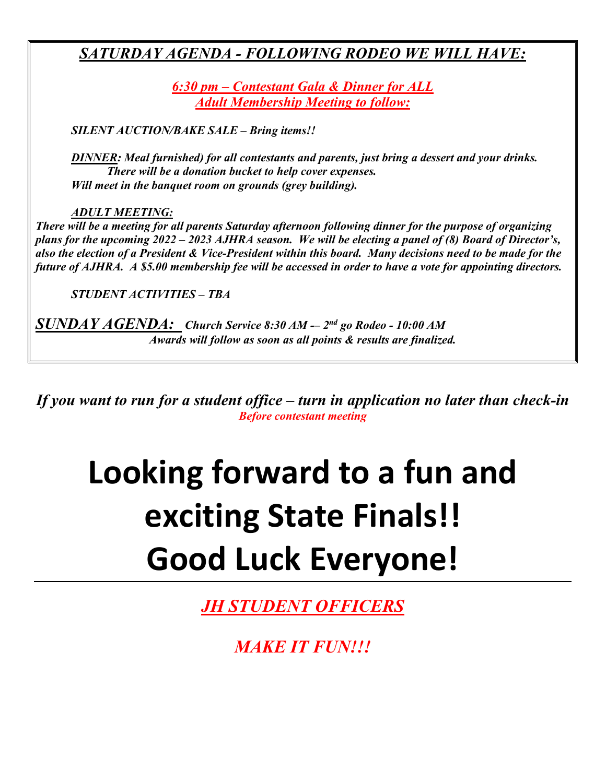# *SATURDAY AGENDA - FOLLOWING RODEO WE WILL HAVE:*

*6:30 pm – Contestant Gala & Dinner for ALL Adult Membership Meeting to follow:* 

*SILENT AUCTION/BAKE SALE – Bring items!!*

*DINNER: Meal furnished) for all contestants and parents, just bring a dessert and your drinks. There will be a donation bucket to help cover expenses. Will meet in the banquet room on grounds (grey building).* 

*ADULT MEETING:*

*There will be a meeting for all parents Saturday afternoon following dinner for the purpose of organizing plans for the upcoming 2022 – 2023 AJHRA season. We will be electing a panel of (8) Board of Director's, also the election of a President & Vice-President within this board. Many decisions need to be made for the future of AJHRA. A \$5.00 membership fee will be accessed in order to have a vote for appointing directors.* 

*STUDENT ACTIVITIES – TBA*

*SUNDAY AGENDA: Church Service 8:30 AM -– 2nd go Rodeo - 10:00 AM Awards will follow as soon as all points & results are finalized.*

*If you want to run for a student office – turn in application no later than check-in Before contestant meeting*

# **Looking forward to a fun and exciting State Finals!! Good Luck Everyone!**

*JH STUDENT OFFICERS*

*MAKE IT FUN!!!*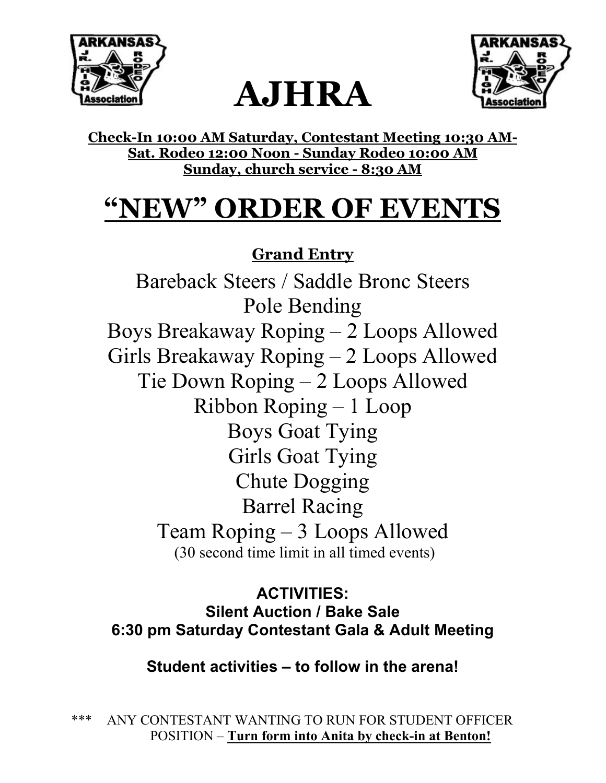





**Check-In 10:00 AM Saturday, Contestant Meeting 10:30 AM-Sat. Rodeo 12:00 Noon - Sunday Rodeo 10:00 AM Sunday, church service - 8:30 AM** 

# **"NEW" ORDER OF EVENTS**

# **Grand Entry**

Bareback Steers / Saddle Bronc Steers Pole Bending Boys Breakaway Roping – 2 Loops Allowed Girls Breakaway Roping – 2 Loops Allowed Tie Down Roping – 2 Loops Allowed Ribbon Roping – 1 Loop Boys Goat Tying Girls Goat Tying Chute Dogging Barrel Racing Team Roping – 3 Loops Allowed (30 second time limit in all timed events)

**ACTIVITIES: Silent Auction / Bake Sale 6:30 pm Saturday Contestant Gala & Adult Meeting**

**Student activities – to follow in the arena!** 

\*\*\* ANY CONTESTANT WANTING TO RUN FOR STUDENT OFFICER POSITION – **Turn form into Anita by check-in at Benton!**